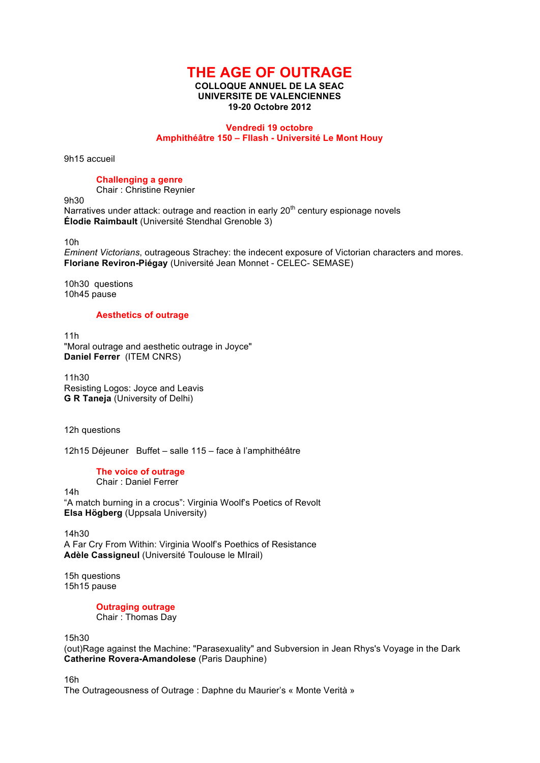# **THE AGE OF OUTRAGE**

#### **COLLOQUE ANNUEL DE LA SEAC UNIVERSITE DE VALENCIENNES 19-20 Octobre 2012**

#### **Vendredi 19 octobre Amphithéâtre 150 – Fllash - Université Le Mont Houy**

9h15 accueil

## **Challenging a genre**

Chair : Christine Reynier

9h30

Narratives under attack: outrage and reaction in early  $20<sup>th</sup>$  century espionage novels **Élodie Raimbault** (Université Stendhal Grenoble 3)

10h

*Eminent Victorians*, outrageous Strachey: the indecent exposure of Victorian characters and mores. **Floriane Reviron-Piégay** (Université Jean Monnet - CELEC- SEMASE)

10h30 questions 10h45 pause

#### **Aesthetics of outrage**

11h "Moral outrage and aesthetic outrage in Joyce" **Daniel Ferrer** (ITEM CNRS)

11h30 Resisting Logos: Joyce and Leavis **G R Taneja** (University of Delhi)

12h questions

12h15 Déjeuner Buffet – salle 115 – face à l'amphithéâtre

### **The voice of outrage**

Chair : Daniel Ferrer

14h "A match burning in a crocus": Virginia Woolf's Poetics of Revolt **Elsa Högberg** (Uppsala University)

14h30 A Far Cry From Within: Virginia Woolf's Poethics of Resistance **Adèle Cassigneul** (Université Toulouse le MIrail)

15h questions 15h15 pause

> **Outraging outrage** Chair : Thomas Day

15h30

(out)Rage against the Machine: "Parasexuality" and Subversion in Jean Rhys's Voyage in the Dark **Catherine Rovera-Amandolese** (Paris Dauphine)

16h

The Outrageousness of Outrage : Daphne du Maurier's « Monte Verità »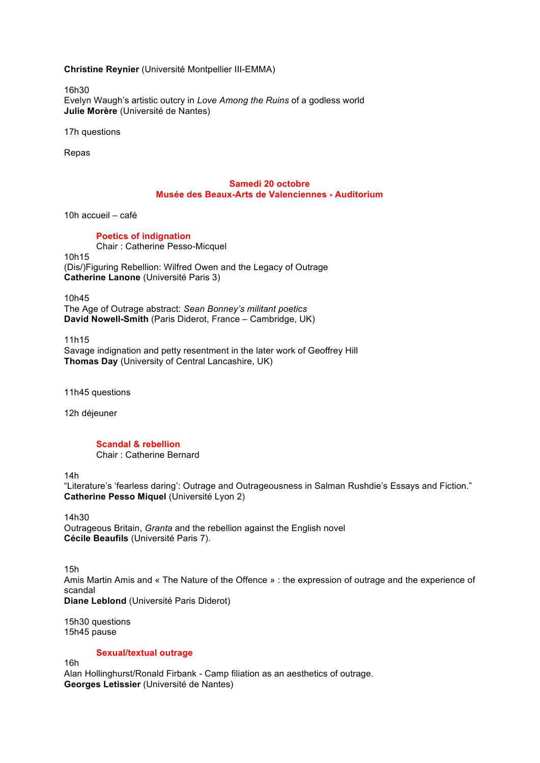**Christine Reynier** (Université Montpellier III-EMMA)

16h30 Evelyn Waugh's artistic outcry in *Love Among the Ruins* of a godless world **Julie Morère** (Université de Nantes)

17h questions

Repas

#### **Samedi 20 octobre Musée des Beaux-Arts de Valenciennes - Auditorium**

10h accueil – café

#### **Poetics of indignation**

Chair : Catherine Pesso-Micquel 10h15 (Dis/)Figuring Rebellion: Wilfred Owen and the Legacy of Outrage **Catherine Lanone** (Université Paris 3)

10h45 The Age of Outrage abstract: *Sean Bonney's militant poetics* **David Nowell-Smith** (Paris Diderot, France – Cambridge, UK)

11h15 Savage indignation and petty resentment in the later work of Geoffrey Hill **Thomas Day** (University of Central Lancashire, UK)

11h45 questions

12h déjeuner

# **Scandal & rebellion**

Chair : Catherine Bernard

14h

"Literature's 'fearless daring': Outrage and Outrageousness in Salman Rushdie's Essays and Fiction." **Catherine Pesso Miquel** (Université Lyon 2)

14h30 Outrageous Britain, *Granta* and the rebellion against the English novel **Cécile Beaufils** (Université Paris 7).

15h Amis Martin Amis and « The Nature of the Offence » : the expression of outrage and the experience of scandal

**Diane Leblond** (Université Paris Diderot)

15h30 questions 15h45 pause

**Sexual/textual outrage**

16h

Alan Hollinghurst/Ronald Firbank - Camp filiation as an aesthetics of outrage. **Georges Letissier** (Université de Nantes)